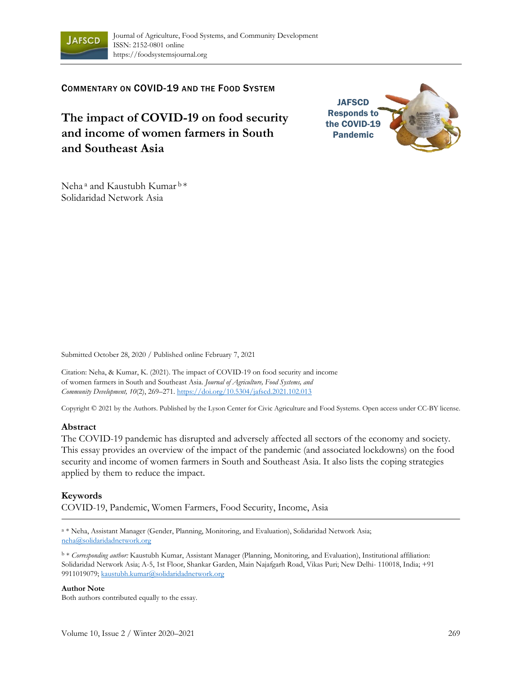

COMMENTARY ON COVID-19 AND THE FOOD SYSTEM

**The impact of COVID-19 on food security and income of women farmers in South and Southeast Asia**



Neha<sup>a</sup> and Kaustubh Kumar<sup>b\*</sup> Solidaridad Network Asia

Submitted October 28, 2020 / Published online February 7, 2021

Citation: Neha, & Kumar, K. (2021). The impact of COVID-19 on food security and income of women farmers in South and Southeast Asia. *Journal of Agriculture, Food Systems, and Community Development, 10*(2), 269–271. https://doi.org/10.5304/jafscd.2021.102.013

Copyright © 2021 by the Authors. Published by the Lyson Center for Civic Agriculture and Food Systems. Open access under CC-BY license.

## **Abstract**

The COVID-19 pandemic has disrupted and adversely affected all sectors of the economy and society. This essay provides an overview of the impact of the pandemic (and associated lockdowns) on the food security and income of women farmers in South and Southeast Asia. It also lists the coping strategies applied by them to reduce the impact.

## **Keywords**

COVID-19, Pandemic, Women Farmers, Food Security, Income, Asia

<sup>a</sup> \* Neha, Assistant Manager (Gender, Planning, Monitoring, and Evaluation), Solidaridad Network Asia; neha@solidaridadnetwork.org

<sup>b</sup> \* *Corresponding author:* Kaustubh Kumar, Assistant Manager (Planning, Monitoring, and Evaluation), Institutional affiliation: Solidaridad Network Asia; A-5, 1st Floor, Shankar Garden, Main Najafgarh Road, Vikas Puri; New Delhi- 110018, India; +91 9911019079; kaustubh.kumar@solidaridadnetwork.org

## **Author Note**

Both authors contributed equally to the essay.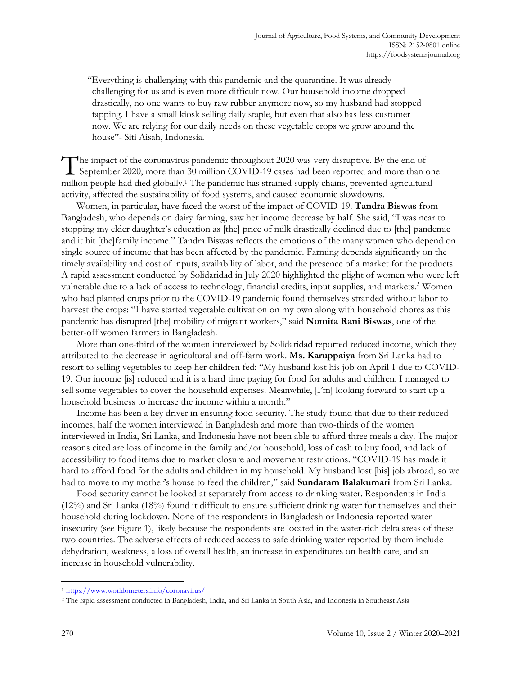"Everything is challenging with this pandemic and the quarantine. It was already challenging for us and is even more difficult now. Our household income dropped drastically, no one wants to buy raw rubber anymore now, so my husband had stopped tapping. I have a small kiosk selling daily staple, but even that also has less customer now. We are relying for our daily needs on these vegetable crops we grow around the house"- Siti Aisah, Indonesia.

The impact of the coronavirus pandemic throughout 2020 was very disruptive. By the end of The impact of the coronavirus pandemic throughout 2020 was very disruptive. By the end of<br>September 2020, more than 30 million COVID-19 cases had been reported and more than one million people had died globally.<sup>1</sup> The pandemic has strained supply chains, prevented agricultural activity, affected the sustainability of food systems, and caused economic slowdowns.

Women, in particular, have faced the worst of the impact of COVID-19. **Tandra Biswas** from Bangladesh, who depends on dairy farming, saw her income decrease by half. She said, "I was near to stopping my elder daughter's education as [the] price of milk drastically declined due to [the] pandemic and it hit [the]family income." Tandra Biswas reflects the emotions of the many women who depend on single source of income that has been affected by the pandemic. Farming depends significantly on the timely availability and cost of inputs, availability of labor, and the presence of a market for the products. A rapid assessment conducted by Solidaridad in July 2020 highlighted the plight of women who were left vulnerable due to a lack of access to technology, financial credits, input supplies, and markets.<sup>2</sup> Women who had planted crops prior to the COVID-19 pandemic found themselves stranded without labor to harvest the crops: "I have started vegetable cultivation on my own along with household chores as this pandemic has disrupted [the] mobility of migrant workers," said **Nomita Rani Biswas**, one of the better-off women farmers in Bangladesh.

More than one-third of the women interviewed by Solidaridad reported reduced income, which they attributed to the decrease in agricultural and off-farm work. **Ms. Karuppaiya** from Sri Lanka had to resort to selling vegetables to keep her children fed: "My husband lost his job on April 1 due to COVID-19. Our income [is] reduced and it is a hard time paying for food for adults and children. I managed to sell some vegetables to cover the household expenses. Meanwhile, [I'm] looking forward to start up a household business to increase the income within a month."

Income has been a key driver in ensuring food security. The study found that due to their reduced incomes, half the women interviewed in Bangladesh and more than two-thirds of the women interviewed in India, Sri Lanka, and Indonesia have not been able to afford three meals a day. The major reasons cited are loss of income in the family and/or household, loss of cash to buy food, and lack of accessibility to food items due to market closure and movement restrictions. "COVID-19 has made it hard to afford food for the adults and children in my household. My husband lost [his] job abroad, so we had to move to my mother's house to feed the children," said **Sundaram Balakumari** from Sri Lanka.

Food security cannot be looked at separately from access to drinking water. Respondents in India (12%) and Sri Lanka (18%) found it difficult to ensure sufficient drinking water for themselves and their household during lockdown. None of the respondents in Bangladesh or Indonesia reported water insecurity (see Figure 1), likely because the respondents are located in the water-rich delta areas of these two countries. The adverse effects of reduced access to safe drinking water reported by them include dehydration, weakness, a loss of overall health, an increase in expenditures on health care, and an increase in household vulnerability.

<sup>1</sup> https://www.worldometers.info/coronavirus/

<sup>2</sup> The rapid assessment conducted in Bangladesh, India, and Sri Lanka in South Asia, and Indonesia in Southeast Asia